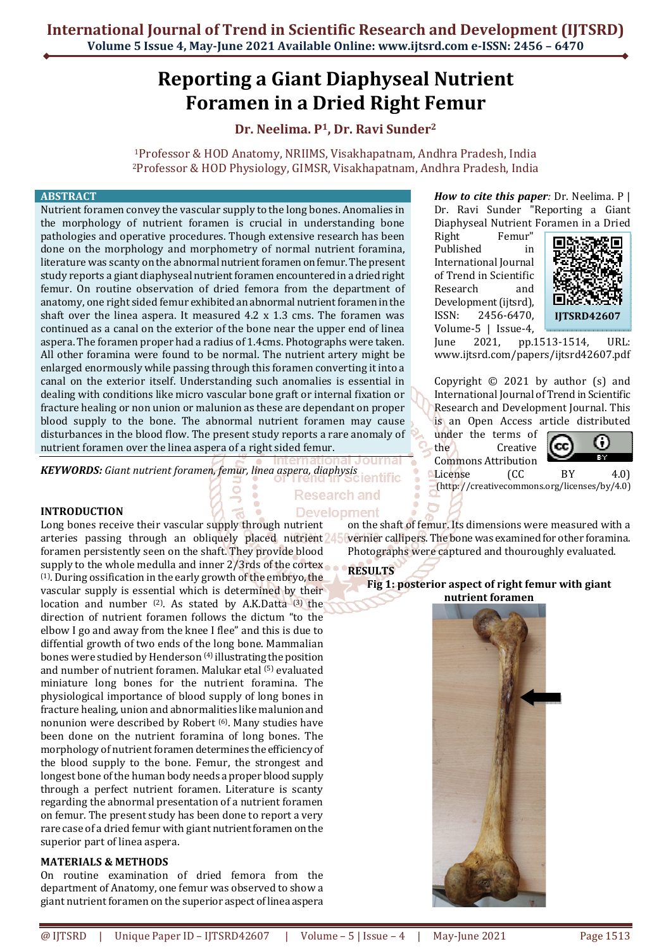# **Reporting a Giant Diaphyseal Nutrient Foramen in a Dried Right Femur**

# **Dr. Neelima. P1, Dr. Ravi Sunder<sup>2</sup>**

<sup>1</sup>Professor & HOD Anatomy, NRIIMS, Visakhapatnam, Andhra Pradesh, India <sup>2</sup>Professor & HOD Physiology, GIMSR, Visakhapatnam, Andhra Pradesh, India

# **ABSTRACT**

Nutrient foramen convey the vascular supply to the long bones. Anomalies in the morphology of nutrient foramen is crucial in understanding bone pathologies and operative procedures. Though extensive research has been done on the morphology and morphometry of normal nutrient foramina, literature was scanty on the abnormal nutrient foramen on femur. The present study reports a giant diaphyseal nutrient foramen encountered in a dried right femur. On routine observation of dried femora from the department of anatomy, one right sided femur exhibited an abnormal nutrient foramen in the shaft over the linea aspera. It measured 4.2 x 1.3 cms. The foramen was continued as a canal on the exterior of the bone near the upper end of linea aspera. The foramen proper had a radius of 1.4cms. Photographs were taken. All other foramina were found to be normal. The nutrient artery might be enlarged enormously while passing through this foramen converting it into a canal on the exterior itself. Understanding such anomalies is essential in dealing with conditions like micro vascular bone graft or internal fixation or fracture healing or non union or malunion as these are dependant on proper blood supply to the bone. The abnormal nutrient foramen may cause disturbances in the blood flow. The present study reports a rare anomaly of nutrient foramen over the linea aspera of a right sided femur.

*KEYWORDS: Giant nutrient foramen, femur, linea aspera, diaphysis* 

## **INTRODUCTION**

Long bones receive their vascular supply through nutrient arteries passing through an obliquely placed nutrient<sup>245</sup> foramen persistently seen on the shaft. They provide blood supply to the whole medulla and inner 2/3rds of the cortex (1). During ossification in the early growth of the embryo, the vascular supply is essential which is determined by their location and number  $(2)$ . As stated by A.K.Datta  $(3)$  the direction of nutrient foramen follows the dictum "to the elbow I go and away from the knee I flee" and this is due to diffential growth of two ends of the long bone. Mammalian bones were studied by Henderson (4) illustrating the position and number of nutrient foramen. Malukar etal (5) evaluated miniature long bones for the nutrient foramina. The physiological importance of blood supply of long bones in fracture healing, union and abnormalities like malunion and nonunion were described by Robert (6). Many studies have been done on the nutrient foramina of long bones. The morphology of nutrient foramen determines the efficiency of the blood supply to the bone. Femur, the strongest and longest bone of the human body needs a proper blood supply through a perfect nutrient foramen. Literature is scanty regarding the abnormal presentation of a nutrient foramen on femur. The present study has been done to report a very rare case of a dried femur with giant nutrient foramen on the superior part of linea aspera.

# **MATERIALS & METHODS**

On routine examination of dried femora from the department of Anatomy, one femur was observed to show a giant nutrient foramen on the superior aspect of linea aspera

*How to cite this paper:* Dr. Neelima. P | Dr. Ravi Sunder "Reporting a Giant Diaphyseal Nutrient Foramen in a Dried

Right Femur" Published in International Journal of Trend in Scientific Research and Development (ijtsrd), ISSN: 2456-6470, Volume-5 | Issue-4,



June 2021, pp.1513-1514, URL: www.ijtsrd.com/papers/ijtsrd42607.pdf

Copyright © 2021 by author (s) and International Journal of Trend in Scientific Research and Development Journal. This is an Open Access article distributed

under the terms of the Creative Commons Attribution



License (CC BY 4.0) (http: //creativecommons.org/licenses/by/4.0)

Research and **Development** 

on the shaft of femur. Its dimensions were measured with a vernier callipers. The bone was examined for other foramina. Photographs were captured and thouroughly evaluated.

# **RESULTS**

#### **Fig 1: posterior aspect of right femur with giant nutrient foramen**